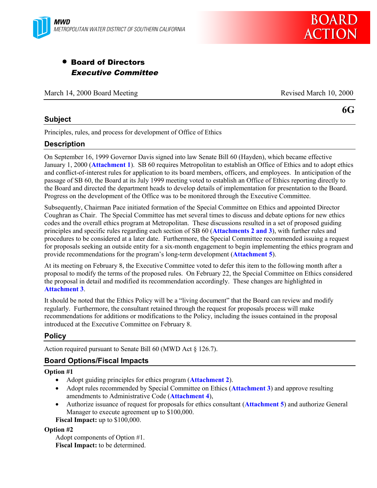

# • Board of Directors Executive Committee

March 14, 2000 Board Meeting **Revised March 10, 2000** Revised March 10, 2000

## **Subject**

**6G**

Principles, rules, and process for development of Office of Ethics

# **Description**

On September 16, 1999 Governor Davis signed into law Senate Bill 60 (Hayden), which became effective January 1, 2000 (**Attachment 1**). SB 60 requires Metropolitan to establish an Office of Ethics and to adopt ethics and conflict-of-interest rules for application to its board members, officers, and employees. In anticipation of the passage of SB 60, the Board at its July 1999 meeting voted to establish an Office of Ethics reporting directly to the Board and directed the department heads to develop details of implementation for presentation to the Board. Progress on the development of the Office was to be monitored through the Executive Committee.

Subsequently, Chairman Pace initiated formation of the Special Committee on Ethics and appointed Director Coughran as Chair. The Special Committee has met several times to discuss and debate options for new ethics codes and the overall ethics program at Metropolitan. These discussions resulted in a set of proposed guiding principles and specific rules regarding each section of SB 60 (**Attachments 2 and 3**), with further rules and procedures to be considered at a later date. Furthermore, the Special Committee recommended issuing a request for proposals seeking an outside entity for a six-month engagement to begin implementing the ethics program and provide recommendations for the program's long-term development (**Attachment 5**).

At its meeting on February 8, the Executive Committee voted to defer this item to the following month after a proposal to modify the terms of the proposed rules. On February 22, the Special Committee on Ethics considered the proposal in detail and modified its recommendation accordingly. These changes are highlighted in **Attachment 3**.

It should be noted that the Ethics Policy will be a "living document" that the Board can review and modify regularly. Furthermore, the consultant retained through the request for proposals process will make recommendations for additions or modifications to the Policy, including the issues contained in the proposal introduced at the Executive Committee on February 8.

# **Policy**

Action required pursuant to Senate Bill 60 (MWD Act § 126.7).

# **Board Options/Fiscal Impacts**

### **Option #1**

- Adopt guiding principles for ethics program (**Attachment 2**).
- Adopt rules recommended by Special Committee on Ethics (**Attachment 3**) and approve resulting amendments to Administrative Code (**Attachment 4**),
- Authorize issuance of request for proposals for ethics consultant (**Attachment 5**) and authorize General Manager to execute agreement up to \$100,000.

**Fiscal Impact:** up to \$100,000.

### **Option #2**

Adopt components of Option #1. **Fiscal Impact:** to be determined.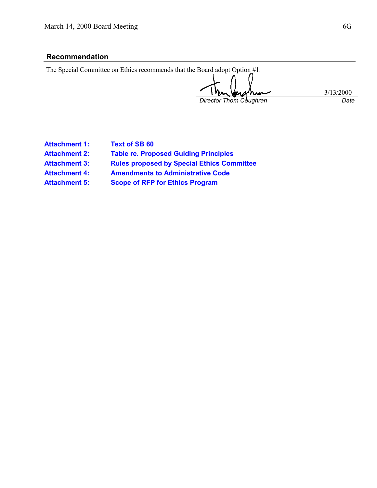# **Recommendation**

| The Special Committee on Ethics recommends that the Board adopt Option #1. |           |
|----------------------------------------------------------------------------|-----------|
|                                                                            |           |
| Thankschin                                                                 |           |
|                                                                            | 3/13/2000 |
| Director Thom Coughran                                                     | Date      |

| <b>Attachment 1:</b> |
|----------------------|
| <b>Attachment 2:</b> |
| <b>Attachment 3:</b> |
| <b>Attachment 4:</b> |

**Text of SB 60** 

**Table re. Proposed Guiding Principles** 

**Rules proposed by Special Ethics Committee** 

**Attachment 4: Amendments to Administrative Code**

**Attachment 5: Scope of RFP for Ethics Program**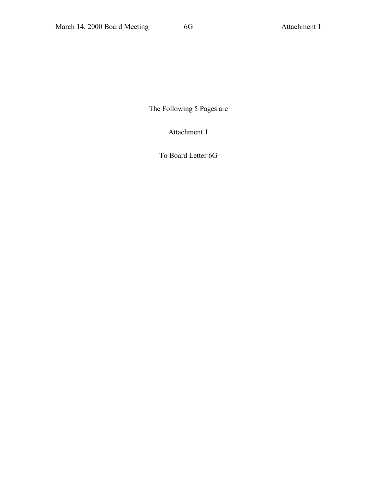The Following 5 Pages are

Attachment 1

To Board Letter 6G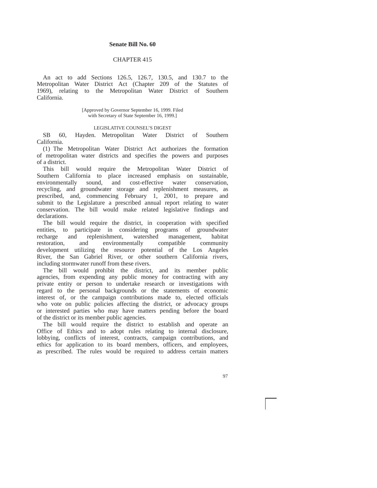#### **Senate Bill No. 60**

#### CHAPTER 415

An act to add Sections 126.5, 126.7, 130.5, and 130.7 to the Metropolitan Water District Act (Chapter 209 of the Statutes of 1969), relating to the Metropolitan Water District of Southern California.

> [Approved by Governor September 16, 1999. Filed with Secretary of State September 16, 1999.]

#### LEGISLATIVE COUNSEL'S DIGEST

SB 60, Hayden. Metropolitan Water District of Southern California.

(1) The Metropolitan Water District Act authorizes the formation of metropolitan water districts and specifies the powers and purposes of a district.

This bill would require the Metropolitan Water District of Southern California to place increased emphasis on sustainable, environmentally sound, and cost-effective water conservation, environmentally sound, and cost-effective water conservation, recycling, and groundwater storage and replenishment measures, as prescribed, and, commencing February 1, 2001, to prepare and submit to the Legislature a prescribed annual report relating to water conservation. The bill would make related legislative findings and declarations.

The bill would require the district, in cooperation with specified entities, to participate in considering programs of groundwater recharge and replenishment, watershed management, habitat restoration, and environmentally compatible community restoration, and environmentally compatible community development utilizing the resource potential of the Los Angeles River, the San Gabriel River, or other southern California rivers, including stormwater runoff from these rivers.

The bill would prohibit the district, and its member public agencies, from expending any public money for contracting with any private entity or person to undertake research or investigations with regard to the personal backgrounds or the statements of economic interest of, or the campaign contributions made to, elected officials who vote on public policies affecting the district, or advocacy groups or interested parties who may have matters pending before the board of the district or its member public agencies.

The bill would require the district to establish and operate an Office of Ethics and to adopt rules relating to internal disclosure, lobbying, conflicts of interest, contracts, campaign contributions, and ethics for application to its board members, officers, and employees, as prescribed. The rules would be required to address certain matters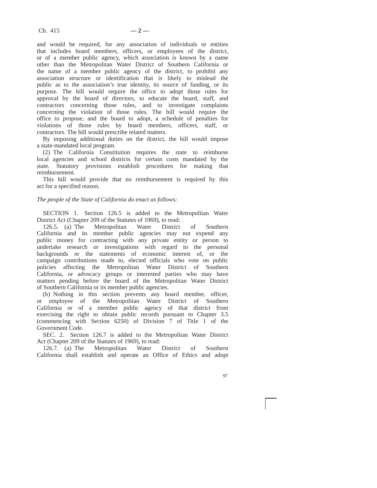and would be required, for any association of individuals or entities that includes board members, officers, or employees of the district, or of a member public agency, which association is known by a name other than the Metropolitan Water District of Southern California or the name of a member public agency of the district, to prohibit any association structure or identification that is likely to mislead the public as to the association's true identity, its source of funding, or its purpose. The bill would require the office to adopt those rules for approval by the board of directors, to educate the board, staff, and contractors concerning those rules, and to investigate complaints concerning the violation of those rules. The bill would require the office to propose, and the board to adopt, a schedule of penalties for violations of those rules by board members, officers, staff, or contractors. The bill would prescribe related matters.

By imposing additional duties on the district, the bill would impose a state-mandated local program.

(2) The California Constitution requires the state to reimburse local agencies and school districts for certain costs mandated by the state. Statutory provisions establish procedures for making that reimbursement.

This bill would provide that no reimbursement is required by this act for a specified reason.

#### *The people of the State of California do enact as follows:*

SECTION 1. Section 126.5 is added to the Metropolitan Water District Act (Chapter 209 of the Statutes of 1969), to read:<br>126.5. (a) The Metropolitan Water District

126.5. (a) The Metropolitan Water District of Southern California and its member public agencies may not expend any public money for contracting with any private entity or person to undertake research or investigations with regard to the personal backgrounds or the statements of economic interest of, or the campaign contributions made to, elected officials who vote on public policies affecting the Metropolitan Water District of Southern California, or advocacy groups or interested parties who may have matters pending before the board of the Metropolitan Water District of Southern California or its member public agencies.

(b) Nothing in this section prevents any board member, officer, or employee of the Metropolitan Water District of Southern California or of a member public agency of that district from exercising the right to obtain public records pursuant to Chapter 3.5 (commencing with Section 6250) of Division 7 of Title 1 of the Government Code.

SEC. 2. Section 126.7 is added to the Metropolitan Water District Act (Chapter 209 of the Statutes of 1969), to read:

126.7. (a) The Metropolitan Water District of Southern California shall establish and operate an Office of Ethics and adopt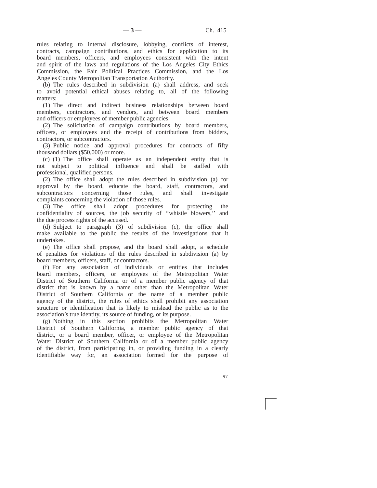rules relating to internal disclosure, lobbying, conflicts of interest, contracts, campaign contributions, and ethics for application to its board members, officers, and employees consistent with the intent and spirit of the laws and regulations of the Los Angeles City Ethics Commission, the Fair Political Practices Commission, and the Los Angeles County Metropolitan Transportation Authority.

(b) The rules described in subdivision (a) shall address, and seek to avoid potential ethical abuses relating to, all of the following matters:

(1) The direct and indirect business relationships between board members, contractors, and vendors, and between board members and officers or employees of member public agencies.

(2) The solicitation of campaign contributions by board members, officers, or employees and the receipt of contributions from bidders, contractors, or subcontractors.

(3) Public notice and approval procedures for contracts of fifty thousand dollars (\$50,000) or more.

(c) (1) The office shall operate as an independent entity that is not subject to political influence and shall be staffed with professional, qualified persons.

(2) The office shall adopt the rules described in subdivision (a) for approval by the board, educate the board, staff, contractors, and subcontractors concerning those rules, and shall investigate complaints concerning the violation of those rules.

(3) The office shall adopt procedures for protecting the confidentiality of sources, the job security of ''whistle blowers,'' and the due process rights of the accused.

(d) Subject to paragraph (3) of subdivision (c), the office shall make available to the public the results of the investigations that it undertakes.

(e) The office shall propose, and the board shall adopt, a schedule of penalties for violations of the rules described in subdivision (a) by board members, officers, staff, or contractors.

(f) For any association of individuals or entities that includes board members, officers, or employees of the Metropolitan Water District of Southern California or of a member public agency of that district that is known by a name other than the Metropolitan Water District of Southern California or the name of a member public agency of the district, the rules of ethics shall prohibit any association structure or identification that is likely to mislead the public as to the association's true identity, its source of funding, or its purpose.

(g) Nothing in this section prohibits the Metropolitan Water District of Southern California, a member public agency of that district, or a board member, officer, or employee of the Metropolitan Water District of Southern California or of a member public agency of the district, from participating in, or providing funding in a clearly identifiable way for, an association formed for the purpose of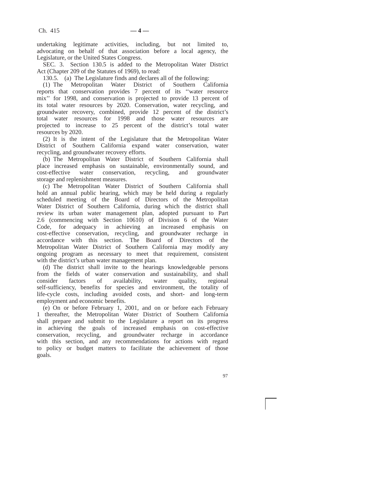undertaking legitimate activities, including, but not limited to, advocating on behalf of that association before a local agency, the Legislature, or the United States Congress.

SEC. 3. Section 130.5 is added to the Metropolitan Water District Act (Chapter 209 of the Statutes of 1969), to read:

130.5. (a) The Legislature finds and declares all of the following:

(1) The Metropolitan Water District of Southern California reports that conservation provides 7 percent of its ''water resource mix'' for 1998, and conservation is projected to provide 13 percent of its total water resources by 2020. Conservation, water recycling, and groundwater recovery, combined, provide 12 percent of the district's total water resources for 1998 and those water resources are projected to increase to 25 percent of the district's total water resources by 2020.

(2) It is the intent of the Legislature that the Metropolitan Water District of Southern California expand water conservation, water recycling, and groundwater recovery efforts.

(b) The Metropolitan Water District of Southern California shall place increased emphasis on sustainable, environmentally sound, and cost-effective water conservation, recycling, and groundwater storage and replenishment measures.

(c) The Metropolitan Water District of Southern California shall hold an annual public hearing, which may be held during a regularly scheduled meeting of the Board of Directors of the Metropolitan Water District of Southern California, during which the district shall review its urban water management plan, adopted pursuant to Part 2.6 (commencing with Section 10610) of Division 6 of the Water Code, for adequacy in achieving an increased emphasis on cost-effective conservation, recycling, and groundwater recharge in accordance with this section. The Board of Directors of the Metropolitan Water District of Southern California may modify any ongoing program as necessary to meet that requirement, consistent with the district's urban water management plan.

(d) The district shall invite to the hearings knowledgeable persons from the fields of water conservation and sustainability, and shall consider factors of availability, water quality, regional self-sufficiency, benefits for species and environment, the totality of life-cycle costs, including avoided costs, and short- and long-term employment and economic benefits.

(e) On or before February 1, 2001, and on or before each February 1 thereafter, the Metropolitan Water District of Southern California shall prepare and submit to the Legislature a report on its progress in achieving the goals of increased emphasis on cost-effective conservation, recycling, and groundwater recharge in accordance with this section, and any recommendations for actions with regard to policy or budget matters to facilitate the achievement of those goals.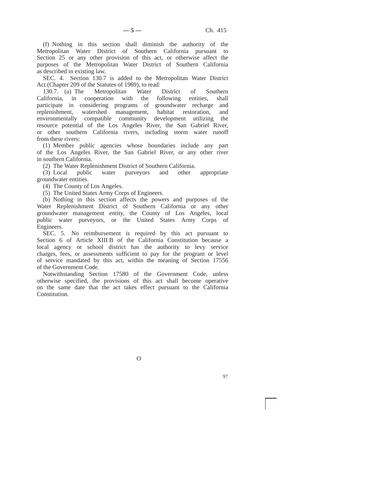(f) Nothing in this section shall diminish the authority of the Metropolitan Water District of Southern California pursuant to Section 25 or any other provision of this act, or otherwise affect the purposes of the Metropolitan Water District of Southern California as described in existing law.

SEC. 4. Section 130.7 is added to the Metropolitan Water District Act (Chapter 209 of the Statutes of 1969), to read:<br>130.7. (a) The Metropolitan Water District

130.7. (a) The Metropolitan Water District of Southern California, in cooperation with the following entities, shall participate in considering programs of groundwater recharge and replenishment, watershed management, habitat restoration, and environmentally compatible community development utilizing the resource potential of the Los Angeles River, the San Gabriel River, or other southern California rivers, including storm water runoff from these rivers:

(1) Member public agencies whose boundaries include any part of the Los Angeles River, the San Gabriel River, or any other river in southern California.

(2) The Water Replenishment District of Southern California.<br>
(3) Local public water purveyors and other

public water purveyors and other appropriate groundwater entities.

(4) The County of Los Angeles.

(5) The United States Army Corps of Engineers.

(b) Nothing in this section affects the powers and purposes of the Water Replenishment District of Southern California or any other groundwater management entity, the County of Los Angeles, local public water purveyors, or the United States Army Corps of Engineers.

SEC. 5. No reimbursement is required by this act pursuant to Section 6 of Article XIII B of the California Constitution because a local agency or school district has the authority to levy service charges, fees, or assessments sufficient to pay for the program or level of service mandated by this act, within the meaning of Section 17556 of the Government Code.

Notwithstanding Section 17580 of the Government Code, unless otherwise specified, the provisions of this act shall become operative on the same date that the act takes effect pursuant to the California Constitution.

O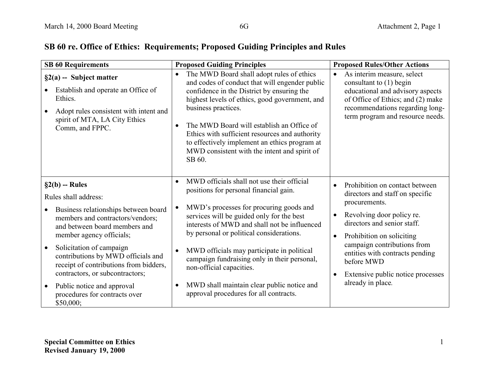# **SB 60 re. Office of Ethics: Requirements; Proposed Guiding Principles and Rules**

| <b>SB 60 Requirements</b>                                                                                                                                                                                                                                                                                                                                                                                                               | <b>Proposed Guiding Principles</b>                                                                                                                                                                                                                                                                                                                                                                                                                                                                                                | <b>Proposed Rules/Other Actions</b>                                                                                                                                                                                                                                                                                                                                       |
|-----------------------------------------------------------------------------------------------------------------------------------------------------------------------------------------------------------------------------------------------------------------------------------------------------------------------------------------------------------------------------------------------------------------------------------------|-----------------------------------------------------------------------------------------------------------------------------------------------------------------------------------------------------------------------------------------------------------------------------------------------------------------------------------------------------------------------------------------------------------------------------------------------------------------------------------------------------------------------------------|---------------------------------------------------------------------------------------------------------------------------------------------------------------------------------------------------------------------------------------------------------------------------------------------------------------------------------------------------------------------------|
| $\S2(a)$ -- Subject matter<br>Establish and operate an Office of<br>Ethics.<br>Adopt rules consistent with intent and<br>$\bullet$<br>spirit of MTA, LA City Ethics<br>Comm, and FPPC.                                                                                                                                                                                                                                                  | The MWD Board shall adopt rules of ethics<br>$\bullet$<br>and codes of conduct that will engender public<br>confidence in the District by ensuring the<br>highest levels of ethics, good government, and<br>business practices.<br>The MWD Board will establish an Office of<br>Ethics with sufficient resources and authority<br>to effectively implement an ethics program at<br>MWD consistent with the intent and spirit of<br>SB 60.                                                                                         | As interim measure, select<br>$\bullet$<br>consultant to $(1)$ begin<br>educational and advisory aspects<br>of Office of Ethics; and (2) make<br>recommendations regarding long-<br>term program and resource needs.                                                                                                                                                      |
| $\S2(b)$ -- Rules<br>Rules shall address:<br>Business relationships between board<br>members and contractors/vendors;<br>and between board members and<br>member agency officials;<br>Solicitation of campaign<br>$\bullet$<br>contributions by MWD officials and<br>receipt of contributions from bidders,<br>contractors, or subcontractors;<br>Public notice and approval<br>$\bullet$<br>procedures for contracts over<br>\$50,000; | MWD officials shall not use their official<br>$\bullet$<br>positions for personal financial gain.<br>MWD's processes for procuring goods and<br>services will be guided only for the best<br>interests of MWD and shall not be influenced<br>by personal or political considerations.<br>MWD officials may participate in political<br>$\bullet$<br>campaign fundraising only in their personal,<br>non-official capacities.<br>MWD shall maintain clear public notice and<br>$\bullet$<br>approval procedures for all contracts. | Prohibition on contact between<br>$\bullet$<br>directors and staff on specific<br>procurements.<br>Revolving door policy re.<br>$\bullet$<br>directors and senior staff.<br>Prohibition on soliciting<br>$\bullet$<br>campaign contributions from<br>entities with contracts pending<br>before MWD<br>Extensive public notice processes<br>$\bullet$<br>already in place. |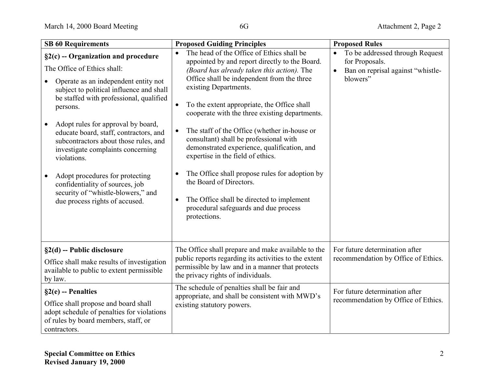| <b>SB 60 Requirements</b>                                                                                                                                                                                                                                                                                                                                                                                                                                                                                                                                             | <b>Proposed Guiding Principles</b>                                                                                                                                                                                                                                                                                                                                                                                                                                                                                                                                                                                                                                                                                                     | <b>Proposed Rules</b>                                                                                                        |
|-----------------------------------------------------------------------------------------------------------------------------------------------------------------------------------------------------------------------------------------------------------------------------------------------------------------------------------------------------------------------------------------------------------------------------------------------------------------------------------------------------------------------------------------------------------------------|----------------------------------------------------------------------------------------------------------------------------------------------------------------------------------------------------------------------------------------------------------------------------------------------------------------------------------------------------------------------------------------------------------------------------------------------------------------------------------------------------------------------------------------------------------------------------------------------------------------------------------------------------------------------------------------------------------------------------------------|------------------------------------------------------------------------------------------------------------------------------|
| $\S2(c)$ -- Organization and procedure<br>The Office of Ethics shall:<br>Operate as an independent entity not<br>subject to political influence and shall<br>be staffed with professional, qualified<br>persons.<br>Adopt rules for approval by board,<br>$\bullet$<br>educate board, staff, contractors, and<br>subcontractors about those rules, and<br>investigate complaints concerning<br>violations.<br>Adopt procedures for protecting<br>$\bullet$<br>confidentiality of sources, job<br>security of "whistle-blowers," and<br>due process rights of accused. | The head of the Office of Ethics shall be<br>$\bullet$<br>appointed by and report directly to the Board.<br>(Board has already taken this action). The<br>Office shall be independent from the three<br>existing Departments.<br>To the extent appropriate, the Office shall<br>cooperate with the three existing departments.<br>The staff of the Office (whether in-house or<br>$\bullet$<br>consultant) shall be professional with<br>demonstrated experience, qualification, and<br>expertise in the field of ethics.<br>The Office shall propose rules for adoption by<br>$\bullet$<br>the Board of Directors.<br>The Office shall be directed to implement<br>$\bullet$<br>procedural safeguards and due process<br>protections. | To be addressed through Request<br>$\bullet$<br>for Proposals.<br>Ban on reprisal against "whistle-<br>$\bullet$<br>blowers" |
| $\S2(d)$ -- Public disclosure<br>Office shall make results of investigation<br>available to public to extent permissible<br>by law.                                                                                                                                                                                                                                                                                                                                                                                                                                   | The Office shall prepare and make available to the<br>public reports regarding its activities to the extent<br>permissible by law and in a manner that protects<br>the privacy rights of individuals.                                                                                                                                                                                                                                                                                                                                                                                                                                                                                                                                  | For future determination after<br>recommendation by Office of Ethics.                                                        |
| $\S2(e)$ -- Penalties<br>Office shall propose and board shall<br>adopt schedule of penalties for violations<br>of rules by board members, staff, or<br>contractors.                                                                                                                                                                                                                                                                                                                                                                                                   | The schedule of penalties shall be fair and<br>appropriate, and shall be consistent with MWD's<br>existing statutory powers.                                                                                                                                                                                                                                                                                                                                                                                                                                                                                                                                                                                                           | For future determination after<br>recommendation by Office of Ethics.                                                        |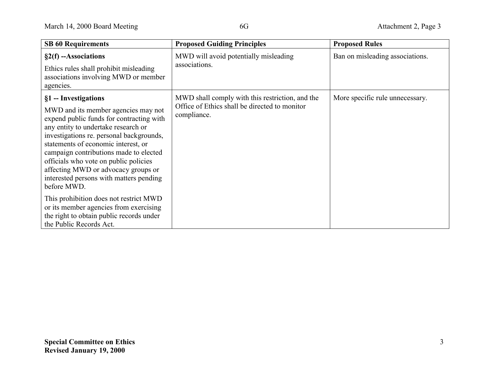| <b>SB 60 Requirements</b>                                                                                                                                                                                                                                                                                                                                                                                                                                                                                                                                                        | <b>Proposed Guiding Principles</b>                                                                              | <b>Proposed Rules</b>           |
|----------------------------------------------------------------------------------------------------------------------------------------------------------------------------------------------------------------------------------------------------------------------------------------------------------------------------------------------------------------------------------------------------------------------------------------------------------------------------------------------------------------------------------------------------------------------------------|-----------------------------------------------------------------------------------------------------------------|---------------------------------|
| $\S2(f)$ --Associations<br>Ethics rules shall prohibit misleading<br>associations involving MWD or member<br>agencies.                                                                                                                                                                                                                                                                                                                                                                                                                                                           | MWD will avoid potentially misleading<br>associations.                                                          | Ban on misleading associations. |
| §1 -- Investigations<br>MWD and its member agencies may not<br>expend public funds for contracting with<br>any entity to undertake research or<br>investigations re. personal backgrounds,<br>statements of economic interest, or<br>campaign contributions made to elected<br>officials who vote on public policies<br>affecting MWD or advocacy groups or<br>interested persons with matters pending<br>before MWD.<br>This prohibition does not restrict MWD<br>or its member agencies from exercising<br>the right to obtain public records under<br>the Public Records Act. | MWD shall comply with this restriction, and the<br>Office of Ethics shall be directed to monitor<br>compliance. | More specific rule unnecessary. |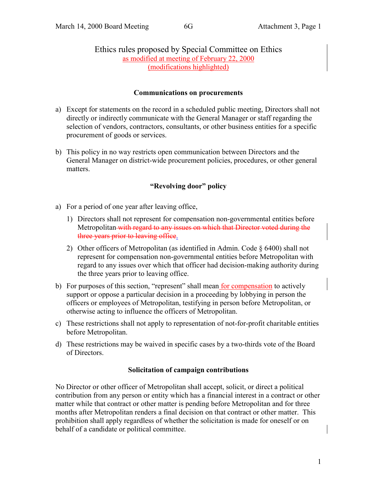# Ethics rules proposed by Special Committee on Ethics as modified at meeting of February 22, 2000 (modifications highlighted)

## **Communications on procurements**

- a) Except for statements on the record in a scheduled public meeting, Directors shall not directly or indirectly communicate with the General Manager or staff regarding the selection of vendors, contractors, consultants, or other business entities for a specific procurement of goods or services.
- b) This policy in no way restricts open communication between Directors and the General Manager on district-wide procurement policies, procedures, or other general matters.

# **"Revolving door" policy**

- a) For a period of one year after leaving office,
	- 1) Directors shall not represent for compensation non-governmental entities before Metropolitan with regard to any issues on which that Director voted during the three years prior to leaving office.
	- 2) Other officers of Metropolitan (as identified in Admin. Code § 6400) shall not represent for compensation non-governmental entities before Metropolitan with regard to any issues over which that officer had decision-making authority during the three years prior to leaving office.
- b) For purposes of this section, "represent" shall mean for compensation to actively support or oppose a particular decision in a proceeding by lobbying in person the officers or employees of Metropolitan, testifying in person before Metropolitan, or otherwise acting to influence the officers of Metropolitan.
- c) These restrictions shall not apply to representation of not-for-profit charitable entities before Metropolitan.
- d) These restrictions may be waived in specific cases by a two-thirds vote of the Board of Directors.

### **Solicitation of campaign contributions**

No Director or other officer of Metropolitan shall accept, solicit, or direct a political contribution from any person or entity which has a financial interest in a contract or other matter while that contract or other matter is pending before Metropolitan and for three months after Metropolitan renders a final decision on that contract or other matter. This prohibition shall apply regardless of whether the solicitation is made for oneself or on behalf of a candidate or political committee.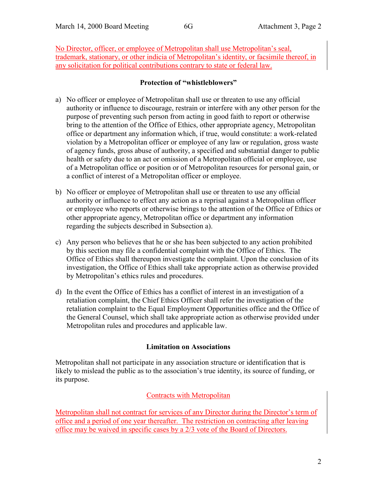No Director, officer, or employee of Metropolitan shall use Metropolitan's seal, trademark, stationary, or other indicia of Metropolitan's identity, or facsimile thereof, in any solicitation for political contributions contrary to state or federal law.

# **Protection of "whistleblowers"**

- a) No officer or employee of Metropolitan shall use or threaten to use any official authority or influence to discourage, restrain or interfere with any other person for the purpose of preventing such person from acting in good faith to report or otherwise bring to the attention of the Office of Ethics, other appropriate agency, Metropolitan office or department any information which, if true, would constitute: a work-related violation by a Metropolitan officer or employee of any law or regulation, gross waste of agency funds, gross abuse of authority, a specified and substantial danger to public health or safety due to an act or omission of a Metropolitan official or employee, use of a Metropolitan office or position or of Metropolitan resources for personal gain, or a conflict of interest of a Metropolitan officer or employee.
- b) No officer or employee of Metropolitan shall use or threaten to use any official authority or influence to effect any action as a reprisal against a Metropolitan officer or employee who reports or otherwise brings to the attention of the Office of Ethics or other appropriate agency, Metropolitan office or department any information regarding the subjects described in Subsection a).
- c) Any person who believes that he or she has been subjected to any action prohibited by this section may file a confidential complaint with the Office of Ethics. The Office of Ethics shall thereupon investigate the complaint. Upon the conclusion of its investigation, the Office of Ethics shall take appropriate action as otherwise provided by Metropolitan's ethics rules and procedures.
- d) In the event the Office of Ethics has a conflict of interest in an investigation of a retaliation complaint, the Chief Ethics Officer shall refer the investigation of the retaliation complaint to the Equal Employment Opportunities office and the Office of the General Counsel, which shall take appropriate action as otherwise provided under Metropolitan rules and procedures and applicable law.

# **Limitation on Associations**

Metropolitan shall not participate in any association structure or identification that is likely to mislead the public as to the association's true identity, its source of funding, or its purpose.

# Contracts with Metropolitan

Metropolitan shall not contract for services of any Director during the Director's term of office and a period of one year thereafter. The restriction on contracting after leaving office may be waived in specific cases by a 2/3 vote of the Board of Directors.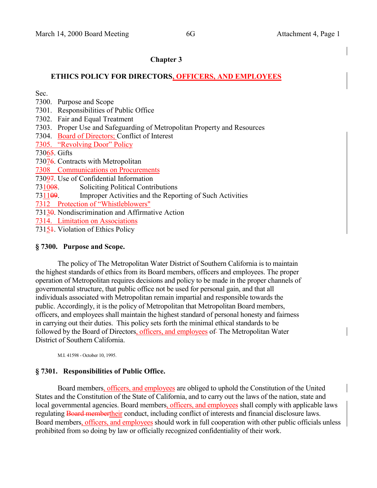#### **Chapter 3**

#### **ETHICS POLICY FOR DIRECTORS, OFFICERS, AND EMPLOYEES**

Sec.

- 7300. Purpose and Scope
- 7301. Responsibilities of Public Office
- 7302. Fair and Equal Treatment
- 7303. Proper Use and Safeguarding of Metropolitan Property and Resources
- 7304. Board of Directors; Conflict of Interest

7305. "Revolving Door" Policy

73065. Gifts

73076. Contracts with Metropolitan

7308 Communications on Procurements

73097. Use of Confidential Information

731008. Soliciting Political Contributions

731109. Improper Activities and the Reporting of Such Activities

7312 Protection of "Whistleblowers"

73130. Nondiscrimination and Affirmative Action

7314. Limitation on Associations

73151. Violation of Ethics Policy

#### **§ 7300. Purpose and Scope.**

The policy of The Metropolitan Water District of Southern California is to maintain the highest standards of ethics from its Board members, officers and employees. The proper operation of Metropolitan requires decisions and policy to be made in the proper channels of governmental structure, that public office not be used for personal gain, and that all individuals associated with Metropolitan remain impartial and responsible towards the public. Accordingly, it is the policy of Metropolitan that Metropolitan Board members, officers, and employees shall maintain the highest standard of personal honesty and fairness in carrying out their duties. This policy sets forth the minimal ethical standards to be followed by the Board of Directors, officers, and employees of-The Metropolitan Water District of Southern California.

M.I. 41598 - October 10, 1995.

### **§ 7301. Responsibilities of Public Office.**

Board members, officers, and employees are obliged to uphold the Constitution of the United States and the Constitution of the State of California, and to carry out the laws of the nation, state and local governmental agencies. Board members, officers, and employees shall comply with applicable laws regulating **Board membertheir** conduct, including conflict of interests and financial disclosure laws. Board members, officers, and employees should work in full cooperation with other public officials unless prohibited from so doing by law or officially recognized confidentiality of their work.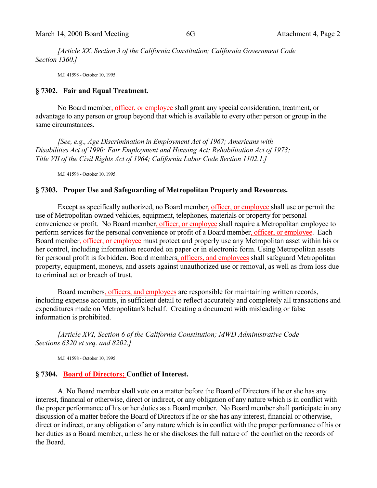*[Article XX, Section 3 of the California Constitution; California Government Code Section 1360.]*

M.I. 41598 - October 10, 1995.

#### **§ 7302. Fair and Equal Treatment.**

No Board member, officer, or employee shall grant any special consideration, treatment, or advantage to any person or group beyond that which is available to every other person or group in the same circumstances.

*[See, e.g., Age Discrimination in Employment Act of 1967; Americans with Disabilities Act of 1990; Fair Employment and Housing Act; Rehabilitation Act of 1973; Title VII of the Civil Rights Act of 1964; California Labor Code Section 1102.1.]*

M.I. 41598 - October 10, 1995.

### **§ 7303. Proper Use and Safeguarding of Metropolitan Property and Resources.**

Except as specifically authorized, no Board member, officer, or employee shall use or permit the use of Metropolitan-owned vehicles, equipment, telephones, materials or property for personal convenience or profit. No Board member, officer, or employee shall require a Metropolitan employee to perform services for the personal convenience or profit of a Board member, officer, or employee. Each Board member, officer, or employee must protect and properly use any Metropolitan asset within his or her control, including information recorded on paper or in electronic form. Using Metropolitan assets for personal profit is forbidden. Board members, officers, and employees shall safeguard Metropolitan property, equipment, moneys, and assets against unauthorized use or removal, as well as from loss due to criminal act or breach of trust.

Board members, officers, and employees are responsible for maintaining written records, including expense accounts, in sufficient detail to reflect accurately and completely all transactions and expenditures made on Metropolitan's behalf. Creating a document with misleading or false information is prohibited.

*[Article XVI, Section 6 of the California Constitution; MWD Administrative Code Sections 6320 et seq. and 8202.]*

M.I. 41598 - October 10, 1995.

### **§ 7304. Board of Directors; Conflict of Interest.**

A. No Board member shall vote on a matter before the Board of Directors if he or she has any interest, financial or otherwise, direct or indirect, or any obligation of any nature which is in conflict with the proper performance of his or her duties as a Board member. No Board member shall participate in any discussion of a matter before the Board of Directors if he or she has any interest, financial or otherwise, direct or indirect, or any obligation of any nature which is in conflict with the proper performance of his or her duties as a Board member, unless he or she discloses the full nature of the conflict on the records of the Board.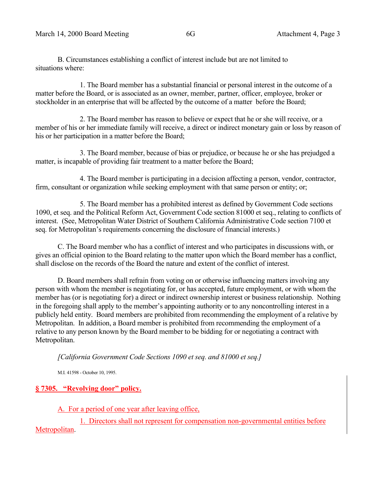B. Circumstances establishing a conflict of interest include but are not limited to situations where:

1. The Board member has a substantial financial or personal interest in the outcome of a matter before the Board, or is associated as an owner, member, partner, officer, employee, broker or stockholder in an enterprise that will be affected by the outcome of a matter before the Board;

2. The Board member has reason to believe or expect that he or she will receive, or a member of his or her immediate family will receive, a direct or indirect monetary gain or loss by reason of his or her participation in a matter before the Board;

3. The Board member, because of bias or prejudice, or because he or she has prejudged a matter, is incapable of providing fair treatment to a matter before the Board;

4. The Board member is participating in a decision affecting a person, vendor, contractor, firm, consultant or organization while seeking employment with that same person or entity; or;

5. The Board member has a prohibited interest as defined by Government Code sections 1090, et seq. and the Political Reform Act, Government Code section 81000 et seq., relating to conflicts of interest. (See, Metropolitan Water District of Southern California Administrative Code section 7100 et seq. for Metropolitan's requirements concerning the disclosure of financial interests.)

C. The Board member who has a conflict of interest and who participates in discussions with, or gives an official opinion to the Board relating to the matter upon which the Board member has a conflict, shall disclose on the records of the Board the nature and extent of the conflict of interest.

D. Board members shall refrain from voting on or otherwise influencing matters involving any person with whom the member is negotiating for, or has accepted, future employment, or with whom the member has (or is negotiating for) a direct or indirect ownership interest or business relationship. Nothing in the foregoing shall apply to the member's appointing authority or to any noncontrolling interest in a publicly held entity. Board members are prohibited from recommending the employment of a relative by Metropolitan. In addition, a Board member is prohibited from recommending the employment of a relative to any person known by the Board member to be bidding for or negotiating a contract with Metropolitan.

*[California Government Code Sections 1090 et seq. and 81000 et seq.]*

M.I. 41598 - October 10, 1995.

### **§ 7305. "Revolving door" policy.**

A. For a period of one year after leaving office,

1. Directors shall not represent for compensation non-governmental entities before Metropolitan.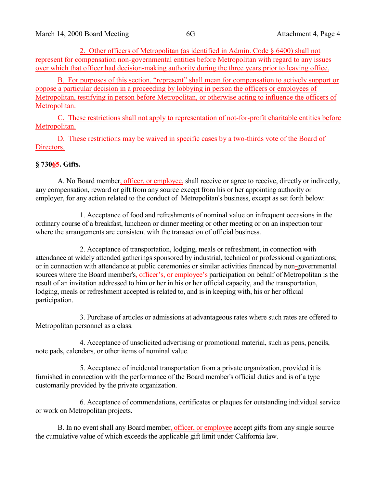2. Other officers of Metropolitan (as identified in Admin. Code § 6400) shall not represent for compensation non-governmental entities before Metropolitan with regard to any issues over which that officer had decision-making authority during the three years prior to leaving office.

B. For purposes of this section, "represent" shall mean for compensation to actively support or oppose a particular decision in a proceeding by lobbying in person the officers or employees of Metropolitan, testifying in person before Metropolitan, or otherwise acting to influence the officers of Metropolitan.

C. These restrictions shall not apply to representation of not-for-profit charitable entities before Metropolitan.

D. These restrictions may be waived in specific cases by a two-thirds vote of the Board of Directors.

### **§ 73065. Gifts.**

A. No Board member, officer, or employee, shall receive or agree to receive, directly or indirectly, any compensation, reward or gift from any source except from his or her appointing authority or employer, for any action related to the conduct of Metropolitan's business, except as set forth below:

1. Acceptance of food and refreshments of nominal value on infrequent occasions in the ordinary course of a breakfast, luncheon or dinner meeting or other meeting or on an inspection tour where the arrangements are consistent with the transaction of official business.

2. Acceptance of transportation, lodging, meals or refreshment, in connection with attendance at widely attended gatherings sponsored by industrial, technical or professional organizations; or in connection with attendance at public ceremonies or similar activities financed by non-governmental sources where the Board member's, officer's, or employee's participation on behalf of Metropolitan is the result of an invitation addressed to him or her in his or her official capacity, and the transportation, lodging, meals or refreshment accepted is related to, and is in keeping with, his or her official participation.

3. Purchase of articles or admissions at advantageous rates where such rates are offered to Metropolitan personnel as a class.

4. Acceptance of unsolicited advertising or promotional material, such as pens, pencils, note pads, calendars, or other items of nominal value.

5. Acceptance of incidental transportation from a private organization, provided it is furnished in connection with the performance of the Board member's official duties and is of a type customarily provided by the private organization.

6. Acceptance of commendations, certificates or plaques for outstanding individual service or work on Metropolitan projects.

B. In no event shall any Board member, officer, or employee accept gifts from any single source the cumulative value of which exceeds the applicable gift limit under California law.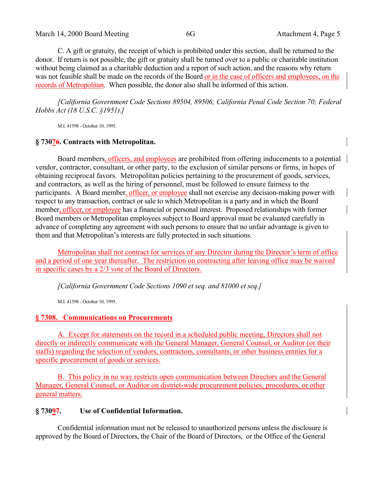March 14, 2000 Board Meeting 6G 6G Attachment 4, Page 5

C. A gift or gratuity, the receipt of which is prohibited under this section, shall be returned to the donor. If return is not possible, the gift or gratuity shall be turned over to a public or charitable institution without being claimed as a charitable deduction and a report of such action, and the reasons why return was not feasible shall be made on the records of the Board or in the case of officers and employees, on the records of Metropolitan. When possible, the donor also shall be informed of this action.

*[California Government Code Sections 89504, 89506; California Penal Code Section 70; Federal Hobbs Act (18 U.S.C. §1951).]*

M.I. 41598 - October 10, 1995.

# **§ 73076. Contracts with Metropolitan.**

Board members, officers, and employees are prohibited from offering inducements to a potential vendor, contractor, consultant, or other party, to the exclusion of similar persons or firms, in hopes of obtaining reciprocal favors. Metropolitan policies pertaining to the procurement of goods, services, and contractors, as well as the hiring of personnel, must be followed to ensure fairness to the participants. A Board member, officer, or employee shall not exercise any decision-making power with respect to any transaction, contract or sale to which Metropolitan is a party and in which the Board member, officer, or employee has a financial or personal interest. Proposed relationships with former Board members or Metropolitan employees subject to Board approval must be evaluated carefully in advance of completing any agreement with such persons to ensure that no unfair advantage is given to them and that Metropolitan's interests are fully protected in such situations.

Metropolitan shall not contract for services of any Director during the Director's term of office and a period of one year thereafter. The restriction on contracting after leaving office may be waived in specific cases by a 2/3 vote of the Board of Directors.

*[California Government Code Sections 1090 et seq. and 81000 et seq.]*

M.I. 41598 - October 10, 1995.

# **§ 7308. Communications on Procurements**

A. Except for statements on the record in a scheduled public meeting, Directors shall not directly or indirectly communicate with the General Manager, General Counsel, or Auditor (or their staffs) regarding the selection of vendors, contractors, consultants, or other business entities for a specific procurement of goods or services.

B. This policy in no way restricts open communication between Directors and the General Manager, General Counsel, or Auditor on district-wide procurement policies, procedures, or other general matters.

# **§ 73097. Use of Confidential Information.**

Confidential information must not be released to unauthorized persons unless the disclosure is approved by the Board of Directors, the Chair of the Board of Directors, or the Office of the General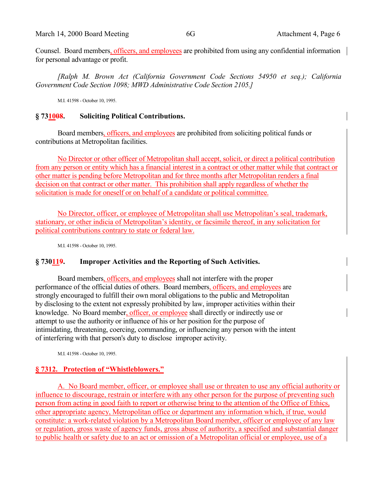Counsel. Board members, officers, and employees are prohibited from using any confidential information for personal advantage or profit.

*[Ralph M. Brown Act (California Government Code Sections 54950 et seq.); California Government Code Section 1098; MWD Administrative Code Section 2105.]*

M.I. 41598 - October 10, 1995.

#### **§ 731008. Soliciting Political Contributions.**

Board members, officers, and employees are prohibited from soliciting political funds or contributions at Metropolitan facilities.

No Director or other officer of Metropolitan shall accept, solicit, or direct a political contribution from any person or entity which has a financial interest in a contract or other matter while that contract or other matter is pending before Metropolitan and for three months after Metropolitan renders a final decision on that contract or other matter. This prohibition shall apply regardless of whether the solicitation is made for oneself or on behalf of a candidate or political committee.

No Director, officer, or employee of Metropolitan shall use Metropolitan's seal, trademark, stationary, or other indicia of Metropolitan's identity, or facsimile thereof, in any solicitation for political contributions contrary to state or federal law.

M.I. 41598 - October 10, 1995.

### **§ 730119. Improper Activities and the Reporting of Such Activities.**

Board members, officers, and employees shall not interfere with the proper performance of the official duties of others. Board members, officers, and employees are strongly encouraged to fulfill their own moral obligations to the public and Metropolitan by disclosing to the extent not expressly prohibited by law, improper activities within their knowledge. No Board member, officer, or employee shall directly or indirectly use or attempt to use the authority or influence of his or her position for the purpose of intimidating, threatening, coercing, commanding, or influencing any person with the intent of interfering with that person's duty to disclose improper activity.

M.I. 41598 - October 10, 1995.

#### **§ 7312. Protection of "Whistleblowers."**

A. No Board member, officer, or employee shall use or threaten to use any official authority or influence to discourage, restrain or interfere with any other person for the purpose of preventing such person from acting in good faith to report or otherwise bring to the attention of the Office of Ethics, other appropriate agency, Metropolitan office or department any information which, if true, would constitute: a work-related violation by a Metropolitan Board member, officer or employee of any law or regulation, gross waste of agency funds, gross abuse of authority, a specified and substantial danger to public health or safety due to an act or omission of a Metropolitan official or employee, use of a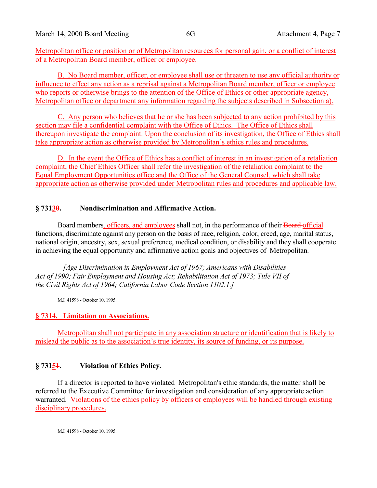Metropolitan office or position or of Metropolitan resources for personal gain, or a conflict of interest of a Metropolitan Board member, officer or employee.

B. No Board member, officer, or employee shall use or threaten to use any official authority or influence to effect any action as a reprisal against a Metropolitan Board member, officer or employee who reports or otherwise brings to the attention of the Office of Ethics or other appropriate agency, Metropolitan office or department any information regarding the subjects described in Subsection a).

C. Any person who believes that he or she has been subjected to any action prohibited by this section may file a confidential complaint with the Office of Ethics. The Office of Ethics shall thereupon investigate the complaint. Upon the conclusion of its investigation, the Office of Ethics shall take appropriate action as otherwise provided by Metropolitan's ethics rules and procedures.

D. In the event the Office of Ethics has a conflict of interest in an investigation of a retaliation complaint, the Chief Ethics Officer shall refer the investigation of the retaliation complaint to the Equal Employment Opportunities office and the Office of the General Counsel, which shall take appropriate action as otherwise provided under Metropolitan rules and procedures and applicable law.

## **§ 73130. Nondiscrimination and Affirmative Action.**

Board members, officers, and employees shall not, in the performance of their Board official functions, discriminate against any person on the basis of race, religion, color, creed, age, marital status, national origin, ancestry, sex, sexual preference, medical condition, or disability and they shall cooperate in achieving the equal opportunity and affirmative action goals and objectives of Metropolitan.

*[Age Discrimination in Employment Act of 1967; Americans with Disabilities Act of 1990; Fair Employment and Housing Act; Rehabilitation Act of 1973; Title VII of the Civil Rights Act of 1964; California Labor Code Section 1102.1.]*

M.I. 41598 - October 10, 1995.

### **§ 7314. Limitation on Associations.**

Metropolitan shall not participate in any association structure or identification that is likely to mislead the public as to the association's true identity, its source of funding, or its purpose.

# **§ 73151. Violation of Ethics Policy.**

If a director is reported to have violated Metropolitan's ethic standards, the matter shall be referred to the Executive Committee for investigation and consideration of any appropriate action warranted. Violations of the ethics policy by officers or employees will be handled through existing disciplinary procedures.

M.I. 41598 - October 10, 1995.